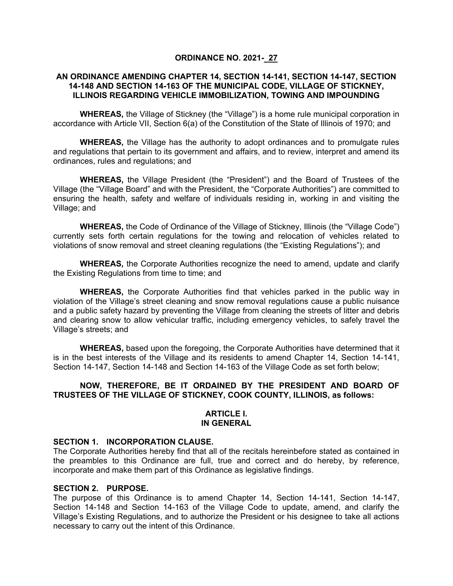### **ORDINANCE NO. 2021- 27**

### **AN ORDINANCE AMENDING CHAPTER 14, SECTION 14-141, SECTION 14-147, SECTION 14-148 AND SECTION 14-163 OF THE MUNICIPAL CODE, VILLAGE OF STICKNEY, ILLINOIS REGARDING VEHICLE IMMOBILIZATION, TOWING AND IMPOUNDING**

**WHEREAS,** the Village of Stickney (the "Village") is a home rule municipal corporation in accordance with Article VII, Section 6(a) of the Constitution of the State of Illinois of 1970; and

**WHEREAS,** the Village has the authority to adopt ordinances and to promulgate rules and regulations that pertain to its government and affairs, and to review, interpret and amend its ordinances, rules and regulations; and

**WHEREAS,** the Village President (the "President") and the Board of Trustees of the Village (the "Village Board" and with the President, the "Corporate Authorities") are committed to ensuring the health, safety and welfare of individuals residing in, working in and visiting the Village; and

**WHEREAS,** the Code of Ordinance of the Village of Stickney, Illinois (the "Village Code") currently sets forth certain regulations for the towing and relocation of vehicles related to violations of snow removal and street cleaning regulations (the "Existing Regulations"); and

**WHEREAS,** the Corporate Authorities recognize the need to amend, update and clarify the Existing Regulations from time to time; and

**WHEREAS,** the Corporate Authorities find that vehicles parked in the public way in violation of the Village's street cleaning and snow removal regulations cause a public nuisance and a public safety hazard by preventing the Village from cleaning the streets of litter and debris and clearing snow to allow vehicular traffic, including emergency vehicles, to safely travel the Village's streets; and

**WHEREAS,** based upon the foregoing, the Corporate Authorities have determined that it is in the best interests of the Village and its residents to amend Chapter 14, Section 14-141, Section 14-147, Section 14-148 and Section 14-163 of the Village Code as set forth below;

# **NOW, THEREFORE, BE IT ORDAINED BY THE PRESIDENT AND BOARD OF TRUSTEES OF THE VILLAGE OF STICKNEY, COOK COUNTY, ILLINOIS, as follows:**

#### **ARTICLE I. IN GENERAL**

### **SECTION 1. INCORPORATION CLAUSE.**

The Corporate Authorities hereby find that all of the recitals hereinbefore stated as contained in the preambles to this Ordinance are full, true and correct and do hereby, by reference, incorporate and make them part of this Ordinance as legislative findings.

### **SECTION 2. PURPOSE.**

The purpose of this Ordinance is to amend Chapter 14, Section 14-141, Section 14-147, Section 14-148 and Section 14-163 of the Village Code to update, amend, and clarify the Village's Existing Regulations, and to authorize the President or his designee to take all actions necessary to carry out the intent of this Ordinance.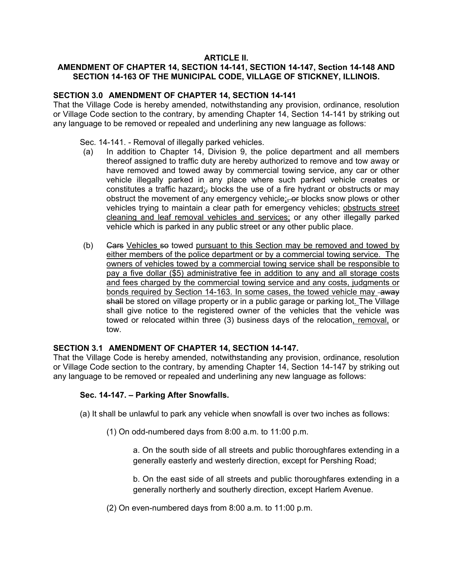# **ARTICLE II.**

# **AMENDMENT OF CHAPTER 14, SECTION 14-141, SECTION 14-147, Section 14-148 AND SECTION 14-163 OF THE MUNICIPAL CODE, VILLAGE OF STICKNEY, ILLINOIS.**

# **SECTION 3.0 AMENDMENT OF CHAPTER 14, SECTION 14-141**

That the Village Code is hereby amended, notwithstanding any provision, ordinance, resolution or Village Code section to the contrary, by amending Chapter 14, Section 14-141 by striking out any language to be removed or repealed and underlining any new language as follows:

- Sec. 14-141. Removal of illegally parked vehicles.
- (a) In addition to Chapter 14, Division 9, the police department and all members thereof assigned to traffic duty are hereby authorized to remove and tow away or have removed and towed away by commercial towing service, any car or other vehicle illegally parked in any place where such parked vehicle creates or constitutes a traffic hazard; blocks the use of a fire hydrant or obstructs or may obstruct the movement of any emergency vehicle; or blocks snow plows or other vehicles trying to maintain a clear path for emergency vehicles; obstructs street cleaning and leaf removal vehicles and services; or any other illegally parked vehicle which is parked in any public street or any other public place.
- (b) Gars Vehicles so towed pursuant to this Section may be removed and towed by either members of the police department or by a commercial towing service. The owners of vehicles towed by a commercial towing service shall be responsible to pay a five dollar (\$5) administrative fee in addition to any and all storage costs and fees charged by the commercial towing service and any costs, judgments or bonds required by Section 14-163. In some cases, the towed vehicle may -away shall be stored on village property or in a public garage or parking lot. The Village shall give notice to the registered owner of the vehicles that the vehicle was towed or relocated within three (3) business days of the relocation, removal, or tow.

# **SECTION 3.1 AMENDMENT OF CHAPTER 14, SECTION 14-147.**

That the Village Code is hereby amended, notwithstanding any provision, ordinance, resolution or Village Code section to the contrary, by amending Chapter 14, Section 14-147 by striking out any language to be removed or repealed and underlining any new language as follows:

# **Sec. 14-147. – Parking After Snowfalls.**

- (a) It shall be unlawful to park any vehicle when snowfall is over two inches as follows:
	- (1) On odd-numbered days from 8:00 a.m. to 11:00 p.m.

a. On the south side of all streets and public thoroughfares extending in a generally easterly and westerly direction, except for Pershing Road;

b. On the east side of all streets and public thoroughfares extending in a generally northerly and southerly direction, except Harlem Avenue.

(2) On even-numbered days from 8:00 a.m. to 11:00 p.m.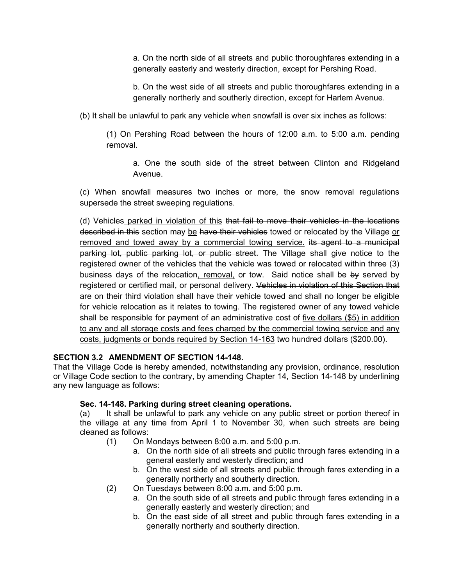a. On the north side of all streets and public thoroughfares extending in a generally easterly and westerly direction, except for Pershing Road.

b. On the west side of all streets and public thoroughfares extending in a generally northerly and southerly direction, except for Harlem Avenue.

(b) It shall be unlawful to park any vehicle when snowfall is over six inches as follows:

(1) On Pershing Road between the hours of 12:00 a.m. to 5:00 a.m. pending removal.

a. One the south side of the street between Clinton and Ridgeland Avenue.

(c) When snowfall measures two inches or more, the snow removal regulations supersede the street sweeping regulations.

(d) Vehicles parked in violation of this that fail to move their vehicles in the locations described in this section may be have their vehicles towed or relocated by the Village or removed and towed away by a commercial towing service. its agent to a municipal parking lot, public parking lot, or public street. The Village shall give notice to the registered owner of the vehicles that the vehicle was towed or relocated within three (3) business days of the relocation, removal, or tow. Said notice shall be by served by registered or certified mail, or personal delivery. Vehicles in violation of this Section that are on their third violation shall have their vehicle towed and shall no longer be eligible for vehicle relocation as it relates to towing. The registered owner of any towed vehicle shall be responsible for payment of an administrative cost of five dollars (\$5) in addition to any and all storage costs and fees charged by the commercial towing service and any costs, judgments or bonds required by Section 14-163 two hundred dollars (\$200.00).

# **SECTION 3.2 AMENDMENT OF SECTION 14-148.**

That the Village Code is hereby amended, notwithstanding any provision, ordinance, resolution or Village Code section to the contrary, by amending Chapter 14, Section 14-148 by underlining any new language as follows:

# **Sec. 14-148. Parking during street cleaning operations.**

(a) It shall be unlawful to park any vehicle on any public street or portion thereof in the village at any time from April 1 to November 30, when such streets are being cleaned as follows:

- (1) On Mondays between 8:00 a.m. and 5:00 p.m.
	- a. On the north side of all streets and public through fares extending in a general easterly and westerly direction; and
	- b. On the west side of all streets and public through fares extending in a generally northerly and southerly direction.
- (2) On Tuesdays between 8:00 a.m. and 5:00 p.m.
	- a. On the south side of all streets and public through fares extending in a generally easterly and westerly direction; and
	- b. On the east side of all street and public through fares extending in a generally northerly and southerly direction.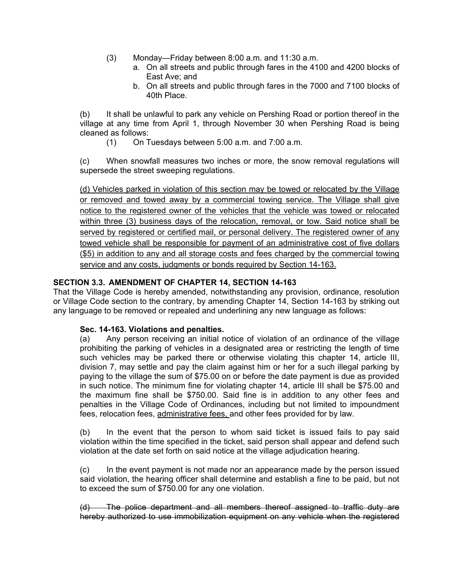- (3) Monday—Friday between 8:00 a.m. and 11:30 a.m.
	- a. On all streets and public through fares in the 4100 and 4200 blocks of East Ave; and
	- b. On all streets and public through fares in the 7000 and 7100 blocks of 40th Place.

(b) It shall be unlawful to park any vehicle on Pershing Road or portion thereof in the village at any time from April 1, through November 30 when Pershing Road is being cleaned as follows:

(1) On Tuesdays between 5:00 a.m. and 7:00 a.m.

(c) When snowfall measures two inches or more, the snow removal regulations will supersede the street sweeping regulations.

(d) Vehicles parked in violation of this section may be towed or relocated by the Village or removed and towed away by a commercial towing service. The Village shall give notice to the registered owner of the vehicles that the vehicle was towed or relocated within three (3) business days of the relocation, removal, or tow. Said notice shall be served by registered or certified mail, or personal delivery. The registered owner of any towed vehicle shall be responsible for payment of an administrative cost of five dollars (\$5) in addition to any and all storage costs and fees charged by the commercial towing service and any costs, judgments or bonds required by Section 14-163.

### **SECTION 3.3. AMENDMENT OF CHAPTER 14, SECTION 14-163**

That the Village Code is hereby amended, notwithstanding any provision, ordinance, resolution or Village Code section to the contrary, by amending Chapter 14, Section 14-163 by striking out any language to be removed or repealed and underlining any new language as follows:

#### **Sec. 14-163. Violations and penalties.**

(a) Any person receiving an initial notice of violation of an ordinance of the village prohibiting the parking of vehicles in a designated area or restricting the length of time such vehicles may be parked there or otherwise violating this chapter 14, article III, division 7, may settle and pay the claim against him or her for a such illegal parking by paying to the village the sum of \$75.00 on or before the date payment is due as provided in such notice. The minimum fine for violating chapter 14, article III shall be \$75.00 and the maximum fine shall be \$750.00. Said fine is in addition to any other fees and penalties in the Village Code of Ordinances, including but not limited to impoundment fees, relocation fees, administrative fees, and other fees provided for by law.

(b) In the event that the person to whom said ticket is issued fails to pay said violation within the time specified in the ticket, said person shall appear and defend such violation at the date set forth on said notice at the village adjudication hearing.

(c) In the event payment is not made nor an appearance made by the person issued said violation, the hearing officer shall determine and establish a fine to be paid, but not to exceed the sum of \$750.00 for any one violation.

(d) The police department and all members thereof assigned to traffic duty are hereby authorized to use immobilization equipment on any vehicle when the registered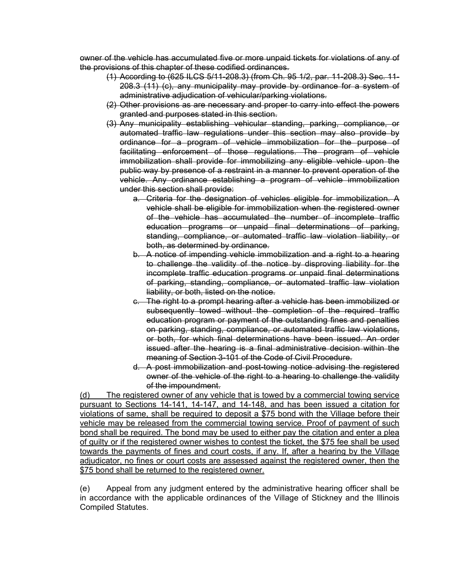owner of the vehicle has accumulated five or more unpaid tickets for violations of any of the provisions of this chapter of these codified ordinances.

- (1) According to (625 ILCS 5/11-208.3) (from Ch. 95 1/2, par. 11-208.3) Sec. 11- 208.3 (11) (c), any municipality may provide by ordinance for a system of administrative adjudication of vehicular/parking violations.
- (2) Other provisions as are necessary and proper to carry into effect the powers granted and purposes stated in this section.
- (3) Any municipality establishing vehicular standing, parking, compliance, or automated traffic law regulations under this section may also provide by ordinance for a program of vehicle immobilization for the purpose of facilitating enforcement of those regulations. The program of vehicle immobilization shall provide for immobilizing any eligible vehicle upon the public way by presence of a restraint in a manner to prevent operation of the vehicle. Any ordinance establishing a program of vehicle immobilization under this section shall provide:
	- a. Criteria for the designation of vehicles eligible for immobilization. A vehicle shall be eligible for immobilization when the registered owner of the vehicle has accumulated the number of incomplete traffic education programs or unpaid final determinations of parking, standing, compliance, or automated traffic law violation liability, or both, as determined by ordinance.
	- b. A notice of impending vehicle immobilization and a right to a hearing to challenge the validity of the notice by disproving liability for the incomplete traffic education programs or unpaid final determinations of parking, standing, compliance, or automated traffic law violation liability, or both, listed on the notice.
	- c. The right to a prompt hearing after a vehicle has been immobilized or subsequently towed without the completion of the required traffic education program or payment of the outstanding fines and penalties on parking, standing, compliance, or automated traffic law violations, or both, for which final determinations have been issued. An order issued after the hearing is a final administrative decision within the meaning of Section 3-101 of the Code of Civil Procedure.
	- d. A post immobilization and post-towing notice advising the registered owner of the vehicle of the right to a hearing to challenge the validity of the impoundment.

(d) The registered owner of any vehicle that is towed by a commercial towing service pursuant to Sections 14-141, 14-147, and 14-148, and has been issued a citation for violations of same, shall be required to deposit a \$75 bond with the Village before their vehicle may be released from the commercial towing service. Proof of payment of such bond shall be required. The bond may be used to either pay the citation and enter a plea of guilty or if the registered owner wishes to contest the ticket, the \$75 fee shall be used towards the payments of fines and court costs, if any. If, after a hearing by the Village adjudicator, no fines or court costs are assessed against the registered owner, then the \$75 bond shall be returned to the registered owner.

(e) Appeal from any judgment entered by the administrative hearing officer shall be in accordance with the applicable ordinances of the Village of Stickney and the Illinois Compiled Statutes.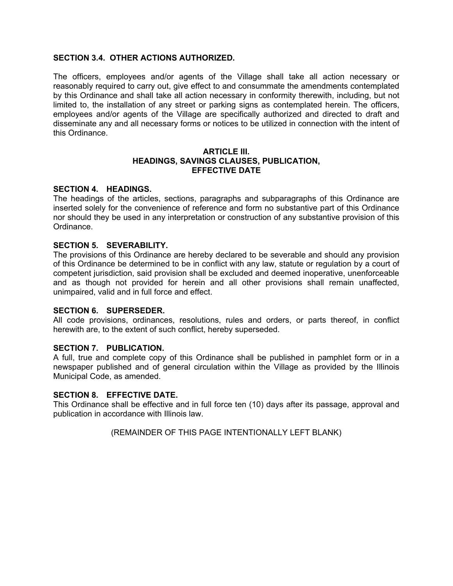# **SECTION 3.4. OTHER ACTIONS AUTHORIZED.**

The officers, employees and/or agents of the Village shall take all action necessary or reasonably required to carry out, give effect to and consummate the amendments contemplated by this Ordinance and shall take all action necessary in conformity therewith, including, but not limited to, the installation of any street or parking signs as contemplated herein. The officers, employees and/or agents of the Village are specifically authorized and directed to draft and disseminate any and all necessary forms or notices to be utilized in connection with the intent of this Ordinance.

#### **ARTICLE III. HEADINGS, SAVINGS CLAUSES, PUBLICATION, EFFECTIVE DATE**

#### **SECTION 4. HEADINGS.**

The headings of the articles, sections, paragraphs and subparagraphs of this Ordinance are inserted solely for the convenience of reference and form no substantive part of this Ordinance nor should they be used in any interpretation or construction of any substantive provision of this Ordinance.

#### **SECTION 5. SEVERABILITY.**

The provisions of this Ordinance are hereby declared to be severable and should any provision of this Ordinance be determined to be in conflict with any law, statute or regulation by a court of competent jurisdiction, said provision shall be excluded and deemed inoperative, unenforceable and as though not provided for herein and all other provisions shall remain unaffected, unimpaired, valid and in full force and effect.

#### **SECTION 6. SUPERSEDER.**

All code provisions, ordinances, resolutions, rules and orders, or parts thereof, in conflict herewith are, to the extent of such conflict, hereby superseded.

#### **SECTION 7. PUBLICATION.**

A full, true and complete copy of this Ordinance shall be published in pamphlet form or in a newspaper published and of general circulation within the Village as provided by the Illinois Municipal Code, as amended.

### **SECTION 8. EFFECTIVE DATE.**

This Ordinance shall be effective and in full force ten (10) days after its passage, approval and publication in accordance with Illinois law.

(REMAINDER OF THIS PAGE INTENTIONALLY LEFT BLANK)